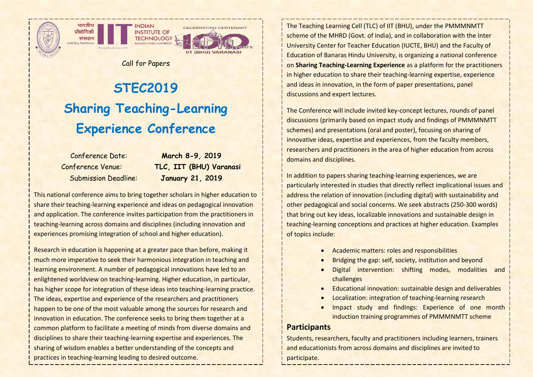

भारतीय

संस्थान

पौद्योगिकी

**NDIAN INSTITUTE OF TECHNOLOGY &** 



Call for Papers

# **STEC2019 Sharing Teaching-Learning Experience Conference**

Conference Date: **March 8-9, 2019** Conference Venue: **TLC, IIT (BHU) Varanasi** Submission Deadline: **January 21, 2019**

This national conference aims to bring together scholars in higher education to share their teaching-learning experience and ideas on pedagogical innovation and application. The conference invites participation from the practitioners in teaching-learning across domains and disciplines (including innovation and experiences promising integration of school and higher education).

Research in education is happening at a greater pace than before, making it much more imperative to seek their harmonious integration in teaching and learning environment. A number of pedagogical innovations have led to an enlightened worldview on teaching-learning. Higher education, in particular, has higher scope for integration of these ideas into teaching-learning practice. The ideas, expertise and experience of the researchers and practitioners happen to be one of the most valuable among the sources for research and innovation in education. The conference seeks to bring them together at a common platform to facilitate a meeting of minds from diverse domains and disciplines to share their teaching-learning expertise and experiences. The sharing of wisdom enables a better understanding of the concepts and practices in teaching-learning leading to desired outcome.

The Teaching Learning Cell (TLC) of IIT (BHU), under the PMMMNMTT scheme of the MHRD (Govt. of India), and in collaboration with the Inter University Center for Teacher Education (IUCTE, BHU) and the Faculty of Education of Banaras Hindu University, is organizing a national conference on **Sharing Teaching-Learning Experience** as a platform for the practitioners in higher education to share their teaching-learning expertise, experience and ideas in innovation, in the form of paper presentations, panel discussions and expert lectures.

The Conference will include invited key-concept lectures, rounds of panel discussions (primarily based on impact study and findings of PMMMNMTT schemes) and presentations (oral and poster), focusing on sharing of innovative ideas, expertise and experiences, from the faculty members, researchers and practitioners in the area of higher education from across domains and disciplines.

In addition to papers sharing teaching-learning experiences, we are particularly interested in studies that directly reflect implicational issues and address the relation of innovation (including digital) with sustainability and other pedagogical and social concerns. We seek abstracts (250-300 words) that bring out key ideas, localizable innovations and sustainable design in teaching-learning conceptions and practices at higher education. Examples of topics include:

- Academic matters: roles and responsibilities
- Bridging the gap: self, society, institution and beyond
- Digital intervention: shifting modes, modalities and challenges
- Educational innovation: sustainable design and deliverables
- Localization: integration of teaching-learning research
- Impact study and findings: Experience of one month induction training programmes of PMMMNMTT scheme

#### **Participants**

Students, researchers, faculty and practitioners including learners, trainers and educationists from across domains and disciplines are invited to participate.